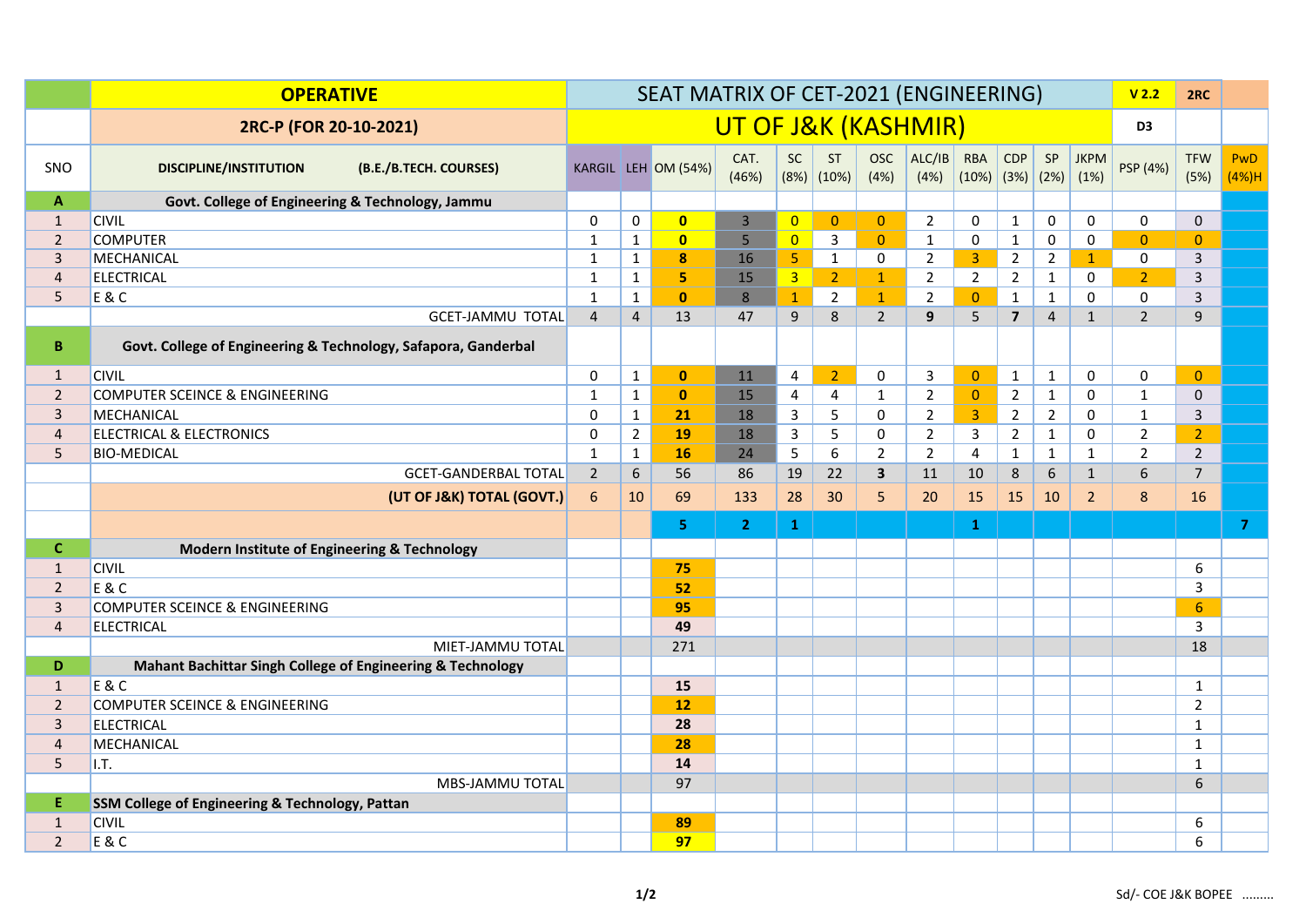|                | <b>OPERATIVE</b>                                               | SEAT MATRIX OF CET-2021 (ENGINEERING) |                |                         |                |                   |                     |                                |                     |                     |                                |                | V <sub>2.2</sub>            | 2RC                 |                              |                     |
|----------------|----------------------------------------------------------------|---------------------------------------|----------------|-------------------------|----------------|-------------------|---------------------|--------------------------------|---------------------|---------------------|--------------------------------|----------------|-----------------------------|---------------------|------------------------------|---------------------|
|                | 2RC-P (FOR 20-10-2021)                                         | UT OF J&K (KASHMIR)                   |                |                         |                |                   |                     |                                |                     |                     | D <sub>3</sub>                 |                |                             |                     |                              |                     |
| SNO            | <b>DISCIPLINE/INSTITUTION</b><br>(B.E./B.TECH. COURSES)        |                                       |                | KARGIL LEH OM (54%)     | CAT.<br>(46%)  | <b>SC</b><br>(8%) | <b>ST</b><br>(10%)  | <b>OSC</b><br>(4% )            | ALC/IB<br>(4%)      | <b>RBA</b><br>(10%) | CDP<br>(3%)                    | SP<br>(2%)     | <b>JKPM</b><br>(1%)         | PSP (4%)            | <b>TFW</b><br>(5%)           | <b>PwD</b><br>(4%)H |
| $\mathbf{A}$   | Govt. College of Engineering & Technology, Jammu               |                                       |                |                         |                |                   |                     |                                |                     |                     |                                |                |                             |                     |                              |                     |
| $\mathbf{1}$   | <b>CIVIL</b>                                                   | 0                                     | 0              | $\overline{\mathbf{0}}$ | $\overline{3}$ | $\overline{0}$    | $\mathbf{0}$        | $\mathbf{0}$                   | $\overline{2}$      | 0                   | $\mathbf{1}$                   | 0              | $\Omega$                    | 0                   | $\mathbf 0$                  |                     |
| $\overline{2}$ | <b>COMPUTER</b>                                                | $\mathbf{1}$                          | $\mathbf{1}$   | $\bullet$               | 5              | $\overline{0}$    | $\mathbf{3}$        | $\overline{0}$                 | $\mathbf{1}$        | $\mathsf{O}\xspace$ | $\mathbf{1}$                   | $\pmb{0}$      | $\Omega$                    | $\overline{0}$      | $\overline{0}$               |                     |
| $\overline{3}$ | MECHANICAL                                                     | $\mathbf{1}$                          | $\mathbf{1}$   | $\pmb{8}$               | 16             | 5 <sub>1</sub>    | $\mathbf{1}$        | 0                              | $\overline{2}$      | 3 <sup>1</sup>      | $\overline{2}$                 | $\overline{2}$ | $\mathbf{1}$                | 0                   | 3                            |                     |
| $\overline{4}$ | <b>ELECTRICAL</b>                                              | $\mathbf{1}$                          | $\mathbf{1}$   | 5                       | 15             | 3 <sup>1</sup>    | $\overline{2}$      | $\mathbf{1}$                   | $\overline{2}$      | $2^{\circ}$         | $\overline{2}$                 | $\mathbf{1}$   | 0                           | $\overline{2}$      | 3                            |                     |
| 5              | E & C                                                          | $\mathbf{1}$                          | $\mathbf{1}$   | $\mathbf{0}$            | 8<br>47        | $\mathbf{1}$      | $\overline{2}$<br>8 | $\mathbf{1}$<br>$\overline{2}$ | $\overline{2}$<br>9 | $\overline{0}$      | $\mathbf{1}$<br>$\overline{7}$ | $\mathbf 1$    | $\mathbf 0$<br>$\mathbf{1}$ | 0<br>$\overline{2}$ | $\overline{3}$<br>9          |                     |
|                | <b>GCET-JAMMU TOTAL</b>                                        | $\overline{4}$                        | $\overline{4}$ | 13                      |                | 9                 |                     |                                |                     | 5                   |                                | $\overline{4}$ |                             |                     |                              |                     |
| B              | Govt. College of Engineering & Technology, Safapora, Ganderbal |                                       |                |                         |                |                   |                     |                                |                     |                     |                                |                |                             |                     |                              |                     |
| $\mathbf{1}$   | <b>CIVIL</b>                                                   | 0                                     | $\mathbf{1}$   | $\mathbf{0}$            | 11             | $\overline{4}$    | 2 <sup>2</sup>      | 0                              | $\mathbf{3}$        | $\mathbf{0}$        | $\mathbf{1}$                   | $\mathbf{1}$   | 0                           | 0                   | $\overline{0}$               |                     |
| $\overline{2}$ | <b>COMPUTER SCEINCE &amp; ENGINEERING</b>                      | $\mathbf{1}$                          | $\mathbf{1}$   | $\mathbf{0}$            | 15             | $\overline{4}$    | $\overline{4}$      | $\mathbf{1}$                   | $\overline{2}$      | $\overline{0}$      | $\overline{2}$                 | $\mathbf{1}$   | 0                           | $\mathbf{1}$        | $\mathbf{0}$                 |                     |
| $\overline{3}$ | MECHANICAL                                                     | 0                                     | $\mathbf{1}$   | 21                      | 18             | 3                 | 5                   | 0                              | $\overline{2}$      | 3 <sup>1</sup>      | $\overline{2}$                 | $\overline{2}$ | 0                           | $\mathbf{1}$        | $\overline{3}$               |                     |
| $\overline{4}$ | <b>ELECTRICAL &amp; ELECTRONICS</b>                            | 0                                     | $\overline{2}$ | 19                      | 18             | 3                 | 5                   | 0                              | $\overline{2}$      | 3                   | $\overline{2}$                 | $\mathbf{1}$   | 0                           | $\overline{2}$      | $\overline{2}$               |                     |
| 5              | <b>BIO-MEDICAL</b>                                             | $\mathbf{1}$                          | $\mathbf{1}$   | 16                      | 24             | 5                 | 6                   | $\overline{2}$                 | $\overline{2}$      | 4                   | $\mathbf{1}$                   | $\mathbf{1}$   | $\mathbf{1}$                | $\overline{2}$      | $\overline{2}$               |                     |
|                | <b>GCET-GANDERBAL TOTAL</b>                                    | $\overline{2}$                        | 6              | 56                      | 86             | 19                | 22                  | $\overline{\mathbf{3}}$        | 11                  | 10                  | 8                              | $6\phantom{a}$ | $\mathbf{1}$                | $6\phantom{a}$      | $\overline{7}$               |                     |
|                | (UT OF J&K) TOTAL (GOVT.)                                      | 6                                     | 10             | 69                      | 133            | 28                | 30                  | 5                              | 20                  | 15                  | 15                             | 10             | $\overline{2}$              | 8                   | 16                           |                     |
|                |                                                                |                                       |                | 5.                      | 2 <sup>1</sup> | $\mathbf{1}$      |                     |                                |                     | $\mathbf{1}$        |                                |                |                             |                     |                              | $\overline{7}$      |
| $\mathbf{C}$   | Modern Institute of Engineering & Technology                   |                                       |                |                         |                |                   |                     |                                |                     |                     |                                |                |                             |                     |                              |                     |
| $\mathbf{1}$   | <b>CIVIL</b>                                                   |                                       |                | 75                      |                |                   |                     |                                |                     |                     |                                |                |                             |                     | 6                            |                     |
| $\overline{2}$ | E & C                                                          |                                       |                | 52                      |                |                   |                     |                                |                     |                     |                                |                |                             |                     | $\overline{3}$               |                     |
| $\overline{3}$ | COMPUTER SCEINCE & ENGINEERING                                 |                                       |                | 95                      |                |                   |                     |                                |                     |                     |                                |                |                             |                     | 6 <sup>1</sup>               |                     |
| $\overline{4}$ | <b>ELECTRICAL</b>                                              |                                       |                | 49                      |                |                   |                     |                                |                     |                     |                                |                |                             |                     | 3                            |                     |
|                | MIET-JAMMU TOTAL                                               |                                       |                | 271                     |                |                   |                     |                                |                     |                     |                                |                |                             |                     | 18                           |                     |
| D              | Mahant Bachittar Singh College of Engineering & Technology     |                                       |                |                         |                |                   |                     |                                |                     |                     |                                |                |                             |                     |                              |                     |
| $\mathbf{1}$   | E & C                                                          |                                       |                | 15                      |                |                   |                     |                                |                     |                     |                                |                |                             |                     | $\mathbf{1}$                 |                     |
| $\overline{2}$ | <b>COMPUTER SCEINCE &amp; ENGINEERING</b>                      |                                       |                | 12                      |                |                   |                     |                                |                     |                     |                                |                |                             |                     | $\overline{2}$               |                     |
| $\overline{3}$ | <b>ELECTRICAL</b>                                              |                                       |                | 28                      |                |                   |                     |                                |                     |                     |                                |                |                             |                     | $\mathbf{1}$                 |                     |
| 4<br>5         | MECHANICAL<br>I.T.                                             |                                       |                | 28<br>14                |                |                   |                     |                                |                     |                     |                                |                |                             |                     | $\mathbf{1}$<br>$\mathbf{1}$ |                     |
|                | MBS-JAMMU TOTAL                                                |                                       |                | 97                      |                |                   |                     |                                |                     |                     |                                |                |                             |                     | 6                            |                     |
| E              | SSM College of Engineering & Technology, Pattan                |                                       |                |                         |                |                   |                     |                                |                     |                     |                                |                |                             |                     |                              |                     |
| $\mathbf{1}$   | <b>CIVIL</b>                                                   |                                       |                | 89                      |                |                   |                     |                                |                     |                     |                                |                |                             |                     | 6                            |                     |
| $2^{\circ}$    | E & C                                                          |                                       |                | 97                      |                |                   |                     |                                |                     |                     |                                |                |                             |                     | 6                            |                     |
|                |                                                                |                                       |                |                         |                |                   |                     |                                |                     |                     |                                |                |                             |                     |                              |                     |